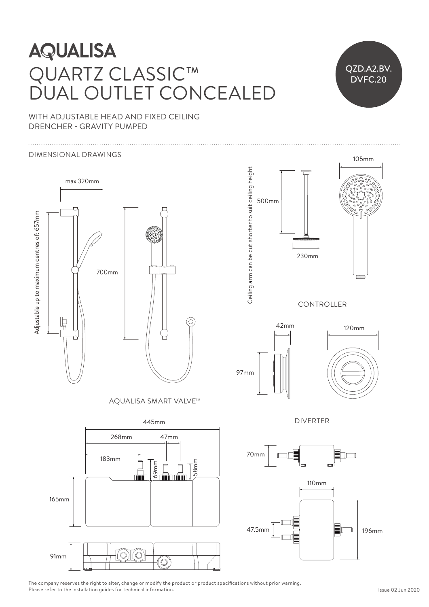### **AQUALISA** QUARTZ CLASSIC™ RI/ CI ASSIC. T  $\Gamma$  Ceiling and be cut shorter to suit ceiling  $\Gamma$ DUAL OUTLET CONCEALED 500 DUAL OUTLET CON DUAL OUTLET CONCE

515mm 230mm

515mm 230mm



WITH ADJUSTABLE HEAD AND FIXED CEILING DRENCHER - GRAVITY PUMPED

#### DIMENSIONAL DRAWINGS 230mm 230mm



AQUALISA SMART VALVE™





DIVERTER  $42$ mm 120mm 120mm 120mm 120mm 120mm 120mm 120mm 120mm 120mm 120mm 120mm 120mm 120mm 120mm 120mm 120mm 120mm 120mm 120mm 120mm 120mm 120mm 120mm 120mm 120mm 120mm 120mm 120mm 120mm 120mm 120mm 120mm 120mm 120mm 120mm 120m





The company reserves the right to alter, change or modify the product or product specifications without prior warning. Please refer to the installation guides for technical information.

 $7/1$ 

 $\sqrt{2\pi}$ 

 $\mathbb{R}$